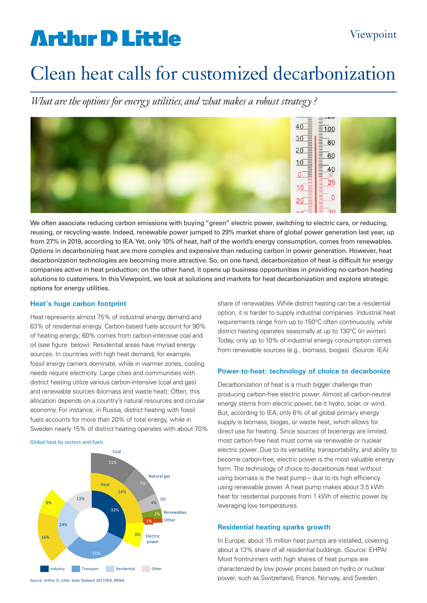# **Arthur D Little**

# Clean heat calls for customized decarbonization

*What are the options for energy utilities, and what makes a robust strategy ?* 



We often associate reducing carbon emissions with buying "green" electric power, switching to electric cars, or reducing, reusing, or recycling waste. Indeed, renewable power jumped to 29% market share of global power generation last year, up from 27% in 2019, according to IEA. Yet, only 10% of heat, half of the world's energy consumption, comes from renewables. Options in decarbonizing heat are more complex and expensive than reducing carbon in power generation. However, heat decarbonization technologies are becoming more attractive. So, on one hand, decarbonization of heat is difficult for energy companies active in heat production; on the other hand, it opens up business opportunities in providing no-carbon heating solutions to customers. In this Viewpoint, we look at solutions and markets for heat decarbonization and explore strategic options for energy utilities.

## **Heat's huge carbon footprint**

Heat represents almost 75% of industrial energy demand and 63% of residential energy. Carbon-based fuels account for 90% of heating energy; 60% comes from carbon-intensive coal and oil (see figure below). Residential areas have myriad energy sources. In countries with high heat demand, for example, fossil energy carriers dominate, while in warmer zones, cooling needs require electricity. Large cities and communities with district heating utilize various carbon-intensive (coal and gas) and renewable sources (biomass and waste heat). Often, this allocation depends on a country's natural resources and circular economy. For instance, in Russia, district heating with fossil fuels accounts for more than 20% of total energy, while in Sweden nearly 15% of district heating operates with about 70%

#### Global heat by sectors and fuels



share of renewables. While district heating can be a residential option, it is harder to supply industrial companies. Industrial heat requirements range from up to 150°C often continuously, while district heating operates seasonally at up to 130°C (in winter). Today, only up to 10% of industrial energy consumption comes from renewable sources (e.g., biomass, biogas). (Source: IEA)

### **Power-to-heat: technology of choice to decarbonize**

Decarbonization of heat is a much bigger challenge than producing carbon-free electric power. Almost all carbon-neutral energy stems from electric power, be it hydro, solar, or wind. But, according to IEA, only 6% of all global primary energy supply is biomass, biogas, or waste heat, which allows for direct use for heating. Since sources of bioenergy are limited, most carbon-free heat must come via renewable or nuclear electric power. Due to its versatility, transportability, and ability to become carbon-free, electric power is the most valuable energy form. The technology of choice to decarbonize heat without using biomass is the heat pump – due to its high efficiency using renewable power. A heat pump makes about 3.5 kWh heat for residential purposes from 1 kWh of electric power by leveraging low temperatures.

### **Residential heating sparks growth**

In Europe, about 15 million heat pumps are installed, covering about a 13% share of all residential buildings. (Source: EHPA) Most frontrunners with high shares of heat pumps are characterized by low power prices based on hydro or nuclear power, such as Switzerland, France, Norway, and Sweden.

Source: Arthur D. Little, Solar Payback 2017/IEA, IRENA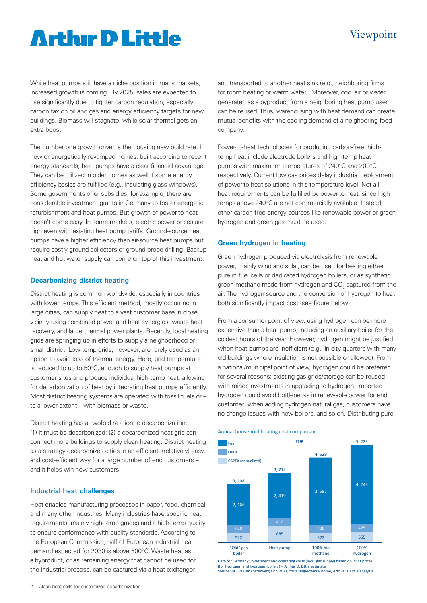## Viewpoint

# **Artlur D Little**

While heat pumps still have a niche position in many markets, increased growth is coming. By 2025, sales are expected to rise significantly due to tighter carbon regulation, especially carbon tax on oil and gas and energy efficiency targets for new buildings. Biomass will stagnate, while solar thermal gets an extra boost.

The number one growth driver is the housing new build rate. In new or energetically revamped homes, built according to recent energy standards, heat pumps have a clear financial advantage. They can be utilized in older homes as well if some energy efficiency basics are fulfilled (e.g., insulating glass windows). Some governments offer subsidies; for example, there are considerable investment grants in Germany to foster energetic refurbishment and heat pumps. But growth of power-to-heat doesn't come easy. In some markets, electric power prices are high even with existing heat pump tariffs. Ground-source heat pumps have a higher efficiency than air-source heat pumps but require costly ground collectors or ground probe drilling. Backup heat and hot water supply can come on top of this investment.

### **Decarbonizing district heating**

District heating is common worldwide, especially in countries with lower temps. This efficient method, mostly occurring in large cities, can supply heat to a vast customer base in close vicinity using combined power and heat synergies, waste heat recovery, and large thermal power plants. Recently, local heating grids are springing up in efforts to supply a neighborhood or small district. Low-temp grids, however, are rarely used as an option to avoid loss of thermal energy. Here, grid temperature is reduced to up to 50°C, enough to supply heat pumps at customer sites and produce individual high-temp heat, allowing for decarbonization of heat by integrating heat pumps efficiently. Most district heating systems are operated with fossil fuels or – to a lower extent – with biomass or waste.

District heating has a twofold relation to decarbonization: (1) it must be decarbonized; (2) a decarbonized heat grid can connect more buildings to supply clean heating. District heating as a strategy decarbonizes cities in an efficient, (relatively) easy, and cost-efficient way for a large number of end customers – and it helps win new customers.

### **Industrial heat challenges**

Heat enables manufacturing processes in paper, food, chemical, and many other industries. Many industries have specific heat requirements, mainly high-temp grades and a high-temp quality to ensure conformance with quality standards. According to the European Commission, half of European industrial heat demand expected for 2030 is above 500°C. Waste heat as a byproduct, or as remaining energy that cannot be used for the industrial process, can be captured via a heat exchanger

and transported to another heat sink (e.g., neighboring firms for room heating or warm water). Moreover, cool air or water generated as a byproduct from a neighboring heat pump user can be reused. Thus, warehousing with heat demand can create mutual benefits with the cooling demand of a neighboring food company.

Power-to-heat technologies for producing carbon-free, hightemp heat include electrode boilers and high-temp heat pumps with maximum temperatures of 240°C and 200°C, respectively. Current low gas prices delay industrial deployment of power-to-heat solutions in this temperature level. Not all heat requirements can be fulfilled by power-to-heat, since high temps above 240°C are not commercially available. Instead, other carbon-free energy sources like renewable power or green hydrogen and green gas must be used.

#### **Green hydrogen in heating**

Green hydrogen produced via electrolysis from renewable power, mainly wind and solar, can be used for heating either pure in fuel cells or dedicated hydrogen boilers, or as synthetic green methane made from hydrogen and  $\mathsf{CO}_2$  captured from the air. The hydrogen source and the conversion of hydrogen to heat both significantly impact cost (see figure below).

From a consumer point of view, using hydrogen can be more expensive than a heat pump, including an auxiliary boiler for the coldest hours of the year. However, hydrogen might be justified when heat pumps are inefficient (e.g., in city quarters with many old buildings where insulation is not possible or allowed). From a national/municipal point of view, hydrogen could be preferred for several reasons: existing gas grids/storage can be reused with minor investments in upgrading to hydrogen; imported hydrogen could avoid bottlenecks in renewable power for end customer; when adding hydrogen natural gas, customers have no change issues with new boilers, and so on. Distributing pure





Data for Germany; investment and operating costs (incl.. gas supply) based on 2021 prices (for hydrogen and hydrogen boilers) – Arthur D. Little estimate Source: BDEW Heizkostenvergleich 2021; for a single-family home, Arthur D. Little analysis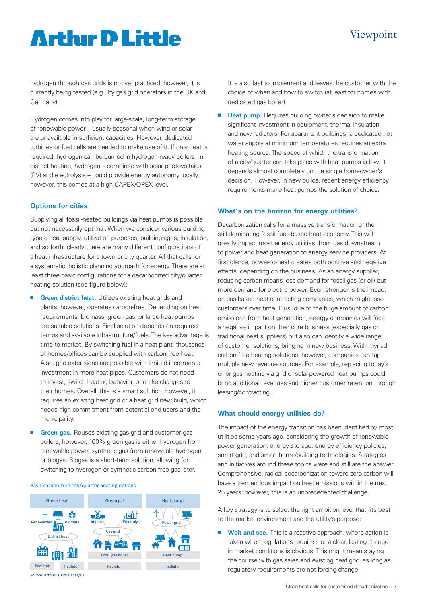## Viewpoint

# **Arthur D Little**

hydrogen through gas grids is not yet practiced; however, it is currently being tested (e.g., by gas grid operators in the UK and Germany).

Hydrogen comes into play for large-scale, long-term storage of renewable power – usually seasonal when wind or solar are unavailable in sufficient capacities. However, dedicated turbines or fuel cells are needed to make use of it. If only heat is required, hydrogen can be burned in hydrogen-ready boilers. In district heating, hydrogen – combined with solar photovoltaics (PV) and electrolysis – could provide energy autonomy locally; however, this comes at a high CAPEX/OPEX level.

### **Options for cities**

Supplying all fossil-heated buildings via heat pumps is possible but not necessarily optimal. When we consider various building types, heat supply, utilization purposes, building ages, insulation, and so forth, clearly there are many different configurations of a heat infrastructure for a town or city quarter. All that calls for a systematic, holistic planning approach for energy. There are at least three basic configurations for a decarbonized city/quarter heating solution (see figure below):

- **n** Green district heat. Utilizes existing heat grids and plants; however, operates carbon-free. Depending on heat requirements, biomass, green gas, or large heat pumps are suitable solutions. Final solution depends on required temps and available infrastructure/fuels. The key advantage is time to market. By switching fuel in a heat plant, thousands of homes/offices can be supplied with carbon-free heat. Also, grid extensions are possible with limited incremental investment in more heat pipes. Customers do not need to invest, switch heating behavior, or make changes to their homes. Overall, this is a smart solution; however, it requires an existing heat grid or a heat grid new build, which needs high commitment from potential end users and the municipality.
- **Green gas.** Reuses existing gas grid and customer gas boilers; however, 100% green gas is either hydrogen from renewable power, synthetic gas from renewable hydrogen, or biogas. Biogas is a short-term solution, allowing for switching to hydrogen or synthetic carbon-free gas later.

#### Basic carbon-free city/quarter heating options



It is also fast to implement and leaves the customer with the choice of when and how to switch (at least for homes with dedicated gas boiler).

**Heat pump.** Requires building owner's decision to make significant investment in equipment, thermal insulation, and new radiators. For apartment buildings, a dedicated hot water supply at minimum temperatures requires an extra heating source. The speed at which the transformation of a city/quarter can take place with heat pumps is low; it depends almost completely on the single homeowner's decision. However, in new builds, recent energy efficiency requirements make heat pumps the solution of choice.

#### **What's on the horizon for energy utilities?**

Decarbonization calls for a massive transformation of the still-dominating fossil fuel–based heat economy. This will greatly impact most energy utilities: from gas downstream to power and heat generation to energy service providers. At first glance, power-to-heat creates both positive and negative effects, depending on the business. As an energy supplier, reducing carbon means less demand for fossil gas (or oil) but more demand for electric power. Even stronger is the impact on gas-based heat contracting companies, which might lose customers over time. Plus, due to the huge amount of carbon emissions from heat generation, energy companies will face a negative impact on their core business (especially gas or traditional heat suppliers) but also can identify a wide range of customer solutions, bringing in new business. With myriad carbon-free heating solutions, however, companies can tap multiple new revenue sources. For example, replacing today's oil or gas heating via grid or solar-powered heat pumps could bring additional revenues and higher customer retention through leasing/contracting.

### **What should energy utilities do?**

The impact of the energy transition has been identified by most utilities some years ago, considering the growth of renewable power generation, energy storage, energy efficiency policies, smart grid, and smart home/building technologies. Strategies and initiatives around these topics were and still are the answer. Comprehensive, radical decarbonization toward zero carbon will have a tremendous impact on heat emissions within the next 25 years; however, this is an unprecedented challenge.

A key strategy is to select the right ambition level that fits best to the market environment and the utility's purpose:

**Wait and see.** This is a reactive approach, where action is taken when regulations require it or a clear, lasting change in market conditions is obvious. This might mean staying the course with gas sales and existing heat grid, as long as regulatory requirements are not forcing change.